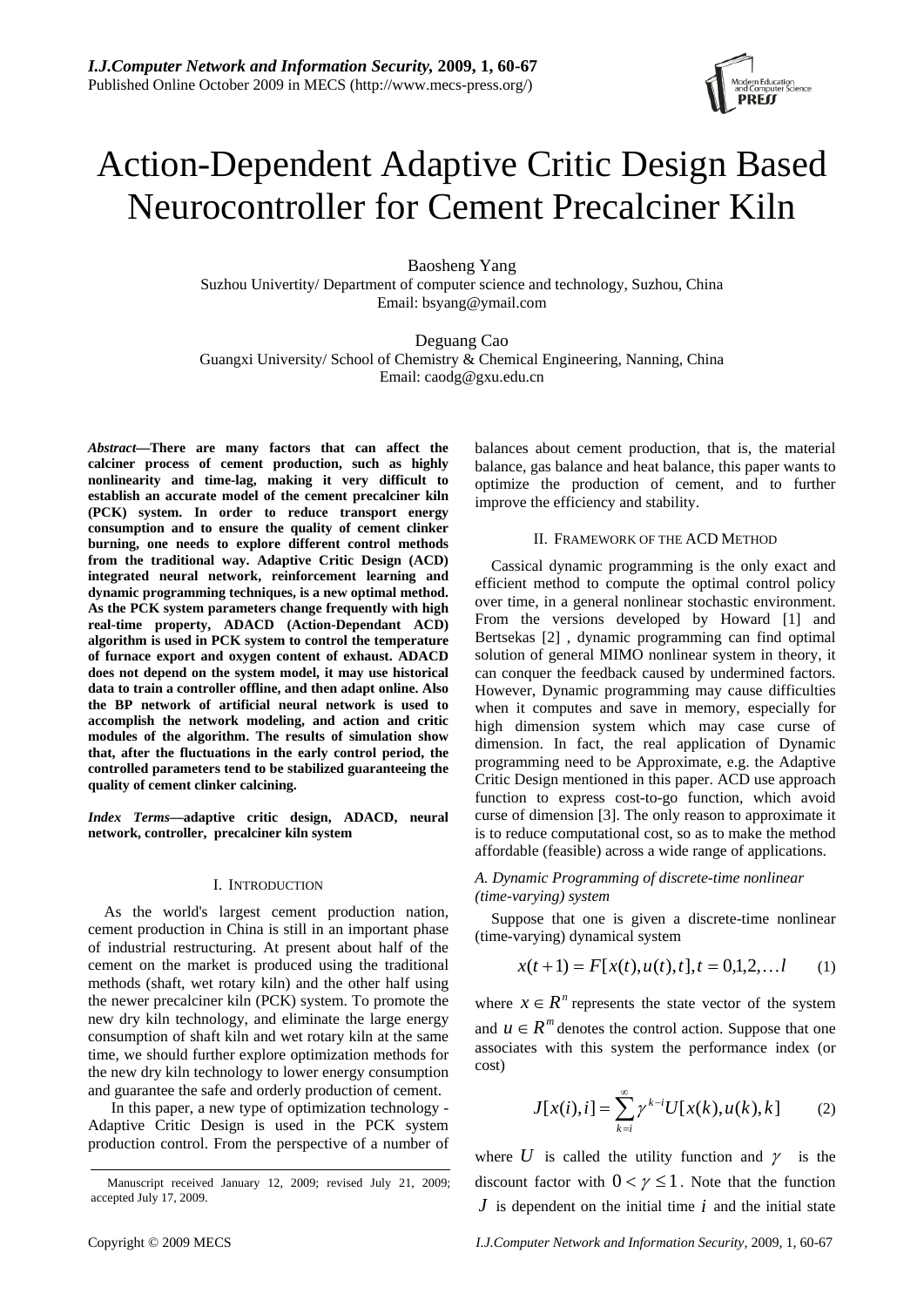

# Action-Dependent Adaptive Critic Design Based Neurocontroller for Cement Precalciner Kiln

Baosheng Yang Suzhou Univertity/ Department of computer science and technology, Suzhou, China Email: bsyang@ymail.com

Deguang Cao Guangxi University/ School of Chemistry & Chemical Engineering, Nanning, China Email: caodg@gxu.edu.cn

*Abstract***—There are many factors that can affect the calciner process of cement production, such as highly nonlinearity and time-lag, making it very difficult to establish an accurate model of the cement precalciner kiln (PCK) system. In order to reduce transport energy consumption and to ensure the quality of cement clinker burning, one needs to explore different control methods from the traditional way. Adaptive Critic Design (ACD) integrated neural network, reinforcement learning and dynamic programming techniques, is a new optimal method. As the PCK system parameters change frequently with high real-time property, ADACD (Action-Dependant ACD) algorithm is used in PCK system to control the temperature of furnace export and oxygen content of exhaust. ADACD does not depend on the system model, it may use historical data to train a controller offline, and then adapt online. Also the BP network of artificial neural network is used to accomplish the network modeling, and action and critic modules of the algorithm. The results of simulation show that, after the fluctuations in the early control period, the controlled parameters tend to be stabilized guaranteeing the quality of cement clinker calcining.** 

*Index Terms***—adaptive critic design, ADACD, neural network, controller, precalciner kiln system** 

## I. INTRODUCTION

As the world's largest cement production nation, cement production in China is still in an important phase of industrial restructuring. At present about half of the cement on the market is produced using the traditional methods (shaft, wet rotary kiln) and the other half using the newer precalciner kiln (PCK) system. To promote the new dry kiln technology, and eliminate the large energy consumption of shaft kiln and wet rotary kiln at the same time, we should further explore optimization methods for the new dry kiln technology to lower energy consumption and guarantee the safe and orderly production of cement.

In this paper, a new type of optimization technology - Adaptive Critic Design is used in the PCK system production control. From the perspective of a number of balances about cement production, that is, the material balance, gas balance and heat balance, this paper wants to optimize the production of cement, and to further improve the efficiency and stability.

# II. FRAMEWORK OF THE ACD METHOD

Cassical dynamic programming is the only exact and efficient method to compute the optimal control policy over time, in a general nonlinear stochastic environment. From the versions developed by Howard [1] and Bertsekas [2] , dynamic programming can find optimal solution of general MIMO nonlinear system in theory, it can conquer the feedback caused by undermined factors. However, Dynamic programming may cause difficulties when it computes and save in memory, especially for high dimension system which may case curse of dimension. In fact, the real application of Dynamic programming need to be Approximate, e.g. the Adaptive Critic Design mentioned in this paper. ACD use approach function to express cost-to-go function, which avoid curse of dimension [3]. The only reason to approximate it is to reduce computational cost, so as to make the method affordable (feasible) across a wide range of applications.

# *A. Dynamic Programming of discrete-time nonlinear (time-varying) system*

Suppose that one is given a discrete-time nonlinear (time-varying) dynamical system

$$
x(t+1) = F[x(t), u(t), t], t = 0, 1, 2, \dots, l \qquad (1)
$$

where  $x \in R^n$  represents the state vector of the system and  $u \in \mathbb{R}^m$  denotes the control action. Suppose that one associates with this system the performance index (or cost)

$$
J[x(i), i] = \sum_{k=i}^{\infty} \gamma^{k-i} U[x(k), u(k), k] \qquad (2)
$$

where  $U$  is called the utility function and  $\gamma$  is the discount factor with  $0 < \gamma \leq 1$ . Note that the function *J* is dependent on the initial time *i* and the initial state

Manuscript received January 12, 2009; revised July 21, 2009; accepted July 17, 2009.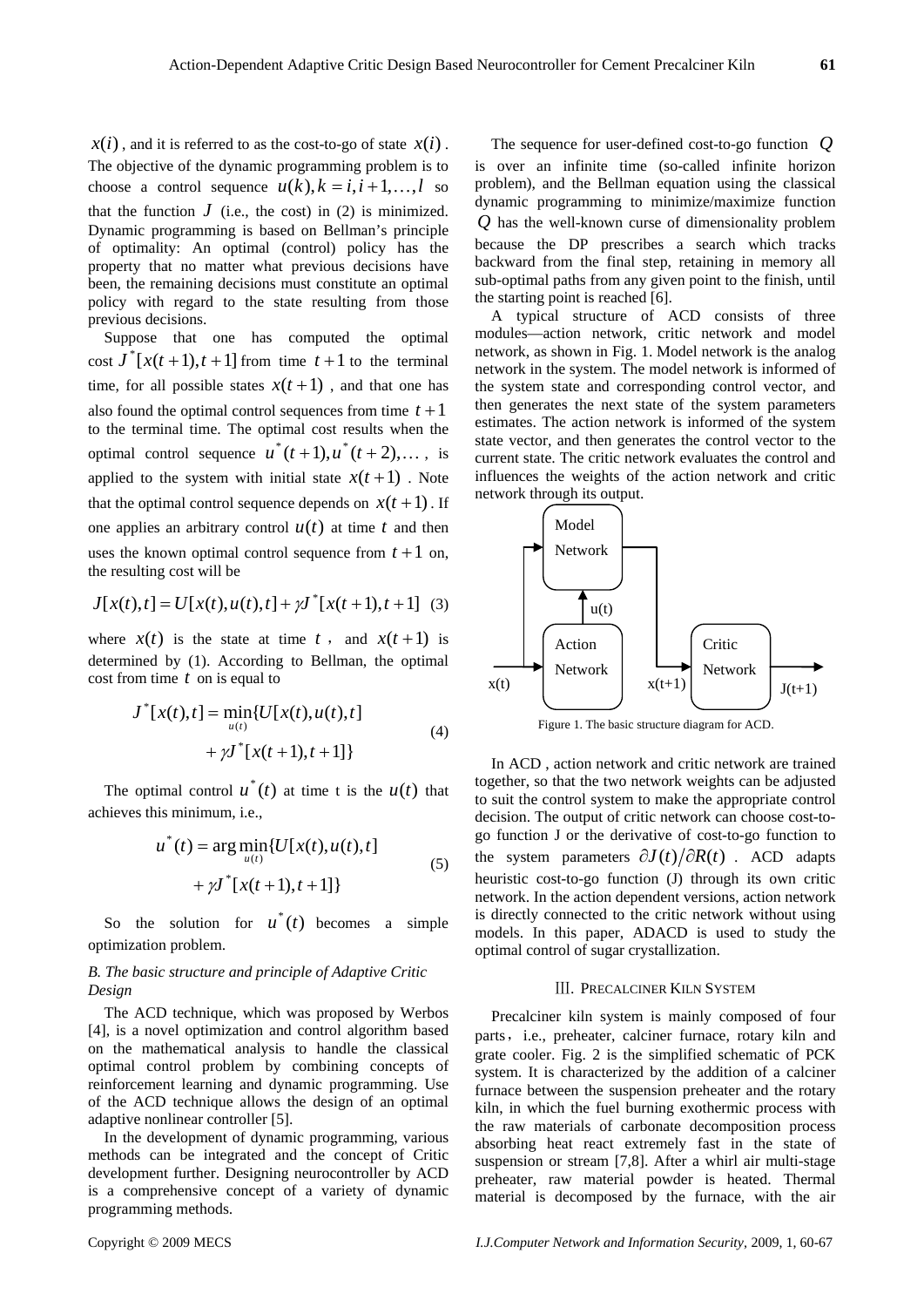$x(i)$ , and it is referred to as the cost-to-go of state  $x(i)$ . The objective of the dynamic programming problem is to choose a control sequence  $u(k)$ ,  $k = i, i + 1,...,l$  so that the function  $J$  (i.e., the cost) in (2) is minimized. Dynamic programming is based on Bellman's principle of optimality: An optimal (control) policy has the property that no matter what previous decisions have been, the remaining decisions must constitute an optimal policy with regard to the state resulting from those previous decisions.

Suppose that one has computed the optimal cost  $J^*[x(t+1), t+1]$  from time  $t+1$  to the terminal time, for all possible states  $x(t+1)$ , and that one has also found the optimal control sequences from time  $t+1$ to the terminal time. The optimal cost results when the optimal control sequence  $u^*(t+1), u^*(t+2), \ldots$ , is applied to the system with initial state  $x(t+1)$ . Note that the optimal control sequence depends on  $x(t+1)$ . If one applies an arbitrary control  $u(t)$  at time  $t$  and then uses the known optimal control sequence from  $t + 1$  on, the resulting cost will be

$$
J[x(t),t] = U[x(t),u(t),t] + \gamma J^*[x(t+1),t+1]
$$
 (3)

where  $x(t)$  is the state at time *t*, and  $x(t+1)$  is determined by (1). According to Bellman, the optimal cost from time *t* on is equal to

$$
J^*[x(t),t] = \min_{u(t)} \{ U[x(t),u(t),t] + \gamma J^*[x(t+1),t+1] \}
$$
\n(4)

The optimal control  $u^*(t)$  at time t is the  $u(t)$  that achieves this minimum, i.e.,

$$
u^*(t) = \arg\min_{u(t)} \{ U[x(t), u(t), t] + \gamma J^*[x(t+1), t+1] \}
$$
\n(5)

So the solution for  $u^*(t)$  becomes a simple optimization problem.

# *B. The basic structure and principle of Adaptive Critic Design*

The ACD technique, which was proposed by Werbos [4], is a novel optimization and control algorithm based on the mathematical analysis to handle the classical optimal control problem by combining concepts of reinforcement learning and dynamic programming. Use of the ACD technique allows the design of an optimal adaptive nonlinear controller [5].

In the development of dynamic programming, various methods can be integrated and the concept of Critic development further. Designing neurocontroller by ACD is a comprehensive concept of a variety of dynamic programming methods.

The sequence for user-defined cost-to-go function *Q* is over an infinite time (so-called infinite horizon problem), and the Bellman equation using the classical dynamic programming to minimize/maximize function *Q* has the well-known curse of dimensionality problem because the DP prescribes a search which tracks backward from the final step, retaining in memory all sub-optimal paths from any given point to the finish, until the starting point is reached [6].

A typical structure of ACD consists of three modules—action network, critic network and model network, as shown in Fig. 1. Model network is the analog network in the system. The model network is informed of the system state and corresponding control vector, and then generates the next state of the system parameters estimates. The action network is informed of the system state vector, and then generates the control vector to the current state. The critic network evaluates the control and influences the weights of the action network and critic network through its output.



Figure 1. The basic structure diagram for ACD.

In ACD , action network and critic network are trained together, so that the two network weights can be adjusted to suit the control system to make the appropriate control decision. The output of critic network can choose cost-togo function J or the derivative of cost-to-go function to the system parameters  $\partial J(t)/\partial R(t)$ . ACD adapts heuristic cost-to-go function (J) through its own critic network. In the action dependent versions, action network is directly connected to the critic network without using models. In this paper, ADACD is used to study the optimal control of sugar crystallization.

#### Ⅲ. PRECALCINER KILN SYSTEM

Precalciner kiln system is mainly composed of four parts, i.e., preheater, calciner furnace, rotary kiln and grate cooler. Fig. 2 is the simplified schematic of PCK system. It is characterized by the addition of a calciner furnace between the suspension preheater and the rotary kiln, in which the fuel burning exothermic process with the raw materials of carbonate decomposition process absorbing heat react extremely fast in the state of suspension or stream [7,8]. After a whirl air multi-stage preheater, raw material powder is heated. Thermal material is decomposed by the furnace, with the air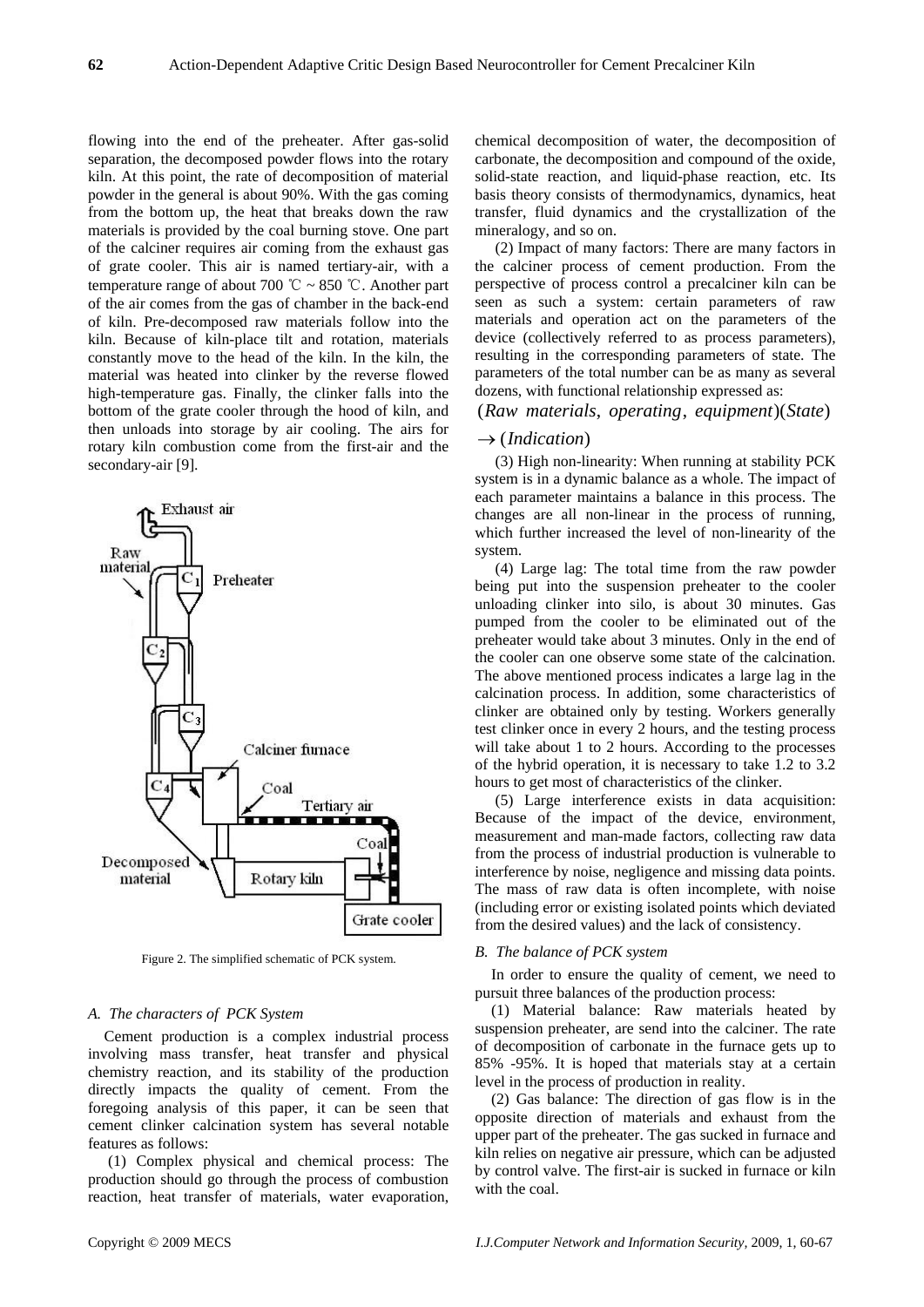flowing into the end of the preheater. After gas-solid separation, the decomposed powder flows into the rotary kiln. At this point, the rate of decomposition of material powder in the general is about 90%. With the gas coming from the bottom up, the heat that breaks down the raw materials is provided by the coal burning stove. One part of the calciner requires air coming from the exhaust gas of grate cooler. This air is named tertiary-air, with a temperature range of about 700 °C ~ 850 °C. Another part of the air comes from the gas of chamber in the back-end of kiln. Pre-decomposed raw materials follow into the kiln. Because of kiln-place tilt and rotation, materials constantly move to the head of the kiln. In the kiln, the material was heated into clinker by the reverse flowed high-temperature gas. Finally, the clinker falls into the bottom of the grate cooler through the hood of kiln, and then unloads into storage by air cooling. The airs for rotary kiln combustion come from the first-air and the secondary-air [9].



Figure 2. The simplified schematic of PCK system.

## *A. The characters of PCK System*

Cement production is a complex industrial process involving mass transfer, heat transfer and physical chemistry reaction, and its stability of the production directly impacts the quality of cement. From the foregoing analysis of this paper, it can be seen that cement clinker calcination system has several notable features as follows:

 (1) Complex physical and chemical process: The production should go through the process of combustion reaction, heat transfer of materials, water evaporation,

chemical decomposition of water, the decomposition of carbonate, the decomposition and compound of the oxide, solid-state reaction, and liquid-phase reaction, etc. Its basis theory consists of thermodynamics, dynamics, heat transfer, fluid dynamics and the crystallization of the mineralogy, and so on.

 (2) Impact of many factors: There are many factors in the calciner process of cement production. From the perspective of process control a precalciner kiln can be seen as such a system: certain parameters of raw materials and operation act on the parameters of the device (collectively referred to as process parameters), resulting in the corresponding parameters of state. The parameters of the total number can be as many as several dozens, with functional relationship expressed as:

(Raw materials, operating, equipment)(State)

# → (*Indication*)

 (3) High non-linearity: When running at stability PCK system is in a dynamic balance as a whole. The impact of each parameter maintains a balance in this process. The changes are all non-linear in the process of running, which further increased the level of non-linearity of the system.

 (4) Large lag: The total time from the raw powder being put into the suspension preheater to the cooler unloading clinker into silo, is about 30 minutes. Gas pumped from the cooler to be eliminated out of the preheater would take about 3 minutes. Only in the end of the cooler can one observe some state of the calcination. The above mentioned process indicates a large lag in the calcination process. In addition, some characteristics of clinker are obtained only by testing. Workers generally test clinker once in every 2 hours, and the testing process will take about 1 to 2 hours. According to the processes of the hybrid operation, it is necessary to take 1.2 to 3.2 hours to get most of characteristics of the clinker.

 (5) Large interference exists in data acquisition: Because of the impact of the device, environment, measurement and man-made factors, collecting raw data from the process of industrial production is vulnerable to interference by noise, negligence and missing data points. The mass of raw data is often incomplete, with noise (including error or existing isolated points which deviated from the desired values) and the lack of consistency.

#### *B. The balance of PCK system*

In order to ensure the quality of cement, we need to pursuit three balances of the production process:

(1) Material balance: Raw materials heated by suspension preheater, are send into the calciner. The rate of decomposition of carbonate in the furnace gets up to 85% -95%. It is hoped that materials stay at a certain level in the process of production in reality.

(2) Gas balance: The direction of gas flow is in the opposite direction of materials and exhaust from the upper part of the preheater. The gas sucked in furnace and kiln relies on negative air pressure, which can be adjusted by control valve. The first-air is sucked in furnace or kiln with the coal.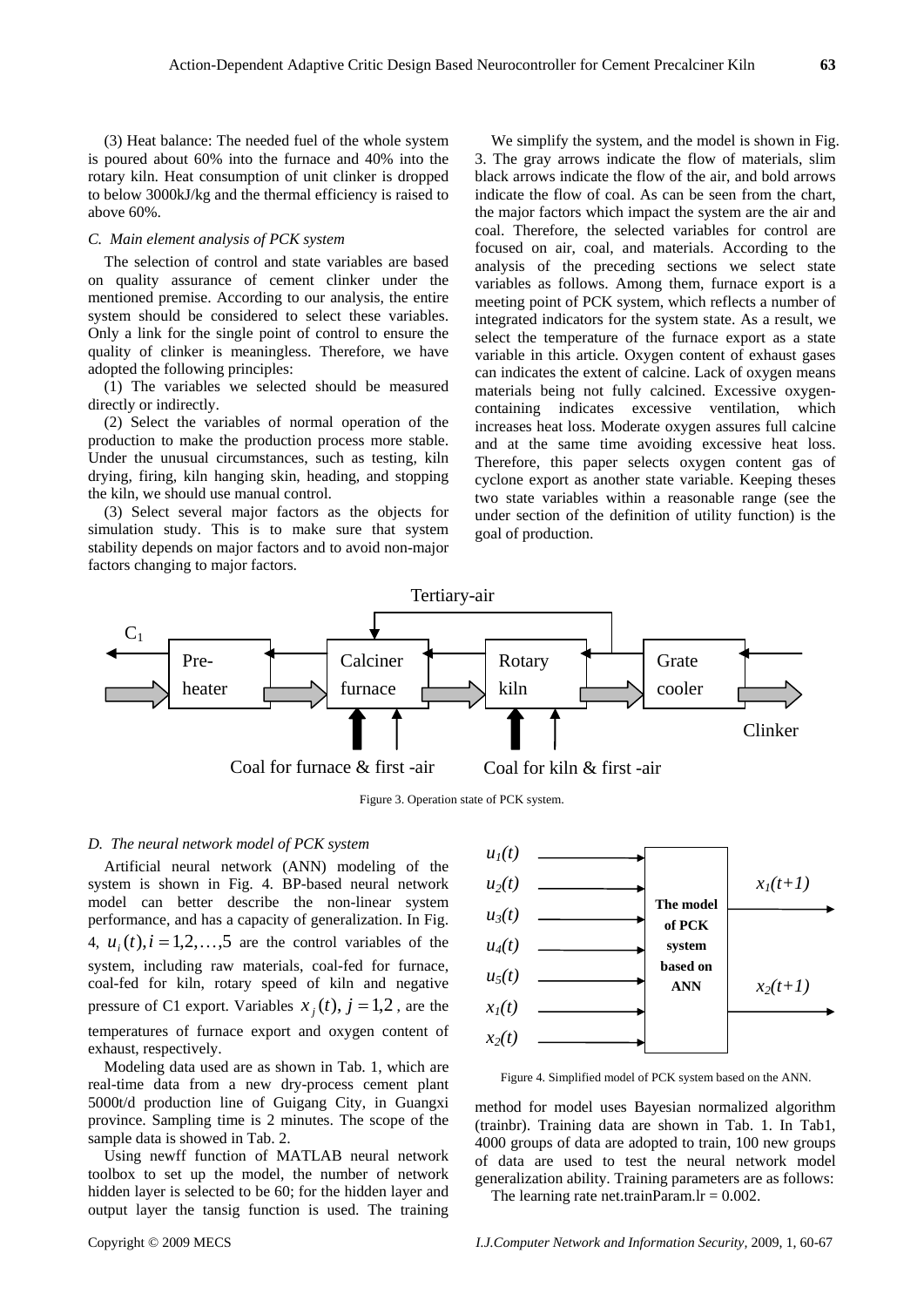(3) Heat balance: The needed fuel of the whole system is poured about 60% into the furnace and 40% into the rotary kiln. Heat consumption of unit clinker is dropped to below 3000kJ/kg and the thermal efficiency is raised to above 60%.

# *C. Main element analysis of PCK system*

The selection of control and state variables are based on quality assurance of cement clinker under the mentioned premise. According to our analysis, the entire system should be considered to select these variables. Only a link for the single point of control to ensure the quality of clinker is meaningless. Therefore, we have adopted the following principles:

(1) The variables we selected should be measured directly or indirectly.

(2) Select the variables of normal operation of the production to make the production process more stable. Under the unusual circumstances, such as testing, kiln drying, firing, kiln hanging skin, heading, and stopping the kiln, we should use manual control.

(3) Select several major factors as the objects for simulation study. This is to make sure that system stability depends on major factors and to avoid non-major factors changing to major factors.

We simplify the system, and the model is shown in Fig. 3. The gray arrows indicate the flow of materials, slim black arrows indicate the flow of the air, and bold arrows indicate the flow of coal. As can be seen from the chart, the major factors which impact the system are the air and coal. Therefore, the selected variables for control are focused on air, coal, and materials. According to the analysis of the preceding sections we select state variables as follows. Among them, furnace export is a meeting point of PCK system, which reflects a number of integrated indicators for the system state. As a result, we select the temperature of the furnace export as a state variable in this article. Oxygen content of exhaust gases can indicates the extent of calcine. Lack of oxygen means materials being not fully calcined. Excessive oxygencontaining indicates excessive ventilation, which increases heat loss. Moderate oxygen assures full calcine and at the same time avoiding excessive heat loss. Therefore, this paper selects oxygen content gas of cyclone export as another state variable. Keeping theses two state variables within a reasonable range (see the under section of the definition of utility function) is the goal of production.



Figure 3. Operation state of PCK system.

## *D. The neural network model of PCK system*

Artificial neural network (ANN) modeling of the system is shown in Fig. 4. BP-based neural network model can better describe the non-linear system performance, and has a capacity of generalization. In Fig. 4,  $u_i(t)$ ,  $i = 1, 2, \ldots, 5$  are the control variables of the system, including raw materials, coal-fed for furnace, coal-fed for kiln, rotary speed of kiln and negative pressure of C1 export. Variables  $x_i(t)$ ,  $j = 1,2$ , are the temperatures of furnace export and oxygen content of exhaust, respectively.

Modeling data used are as shown in Tab. 1, which are real-time data from a new dry-process cement plant 5000t/d production line of Guigang City, in Guangxi province. Sampling time is 2 minutes. The scope of the sample data is showed in Tab. 2.

Using newff function of MATLAB neural network toolbox to set up the model, the number of network hidden layer is selected to be 60; for the hidden layer and output layer the tansig function is used. The training



Figure 4. Simplified model of PCK system based on the ANN.

method for model uses Bayesian normalized algorithm (trainbr). Training data are shown in Tab. 1. In Tab1, 4000 groups of data are adopted to train, 100 new groups of data are used to test the neural network model generalization ability. Training parameters are as follows: The learning rate net.trainParam.lr =  $0.002$ .

Copyright © 2009 MECS *I.J.Computer Network and Information Security,* 2009, 1, 60-67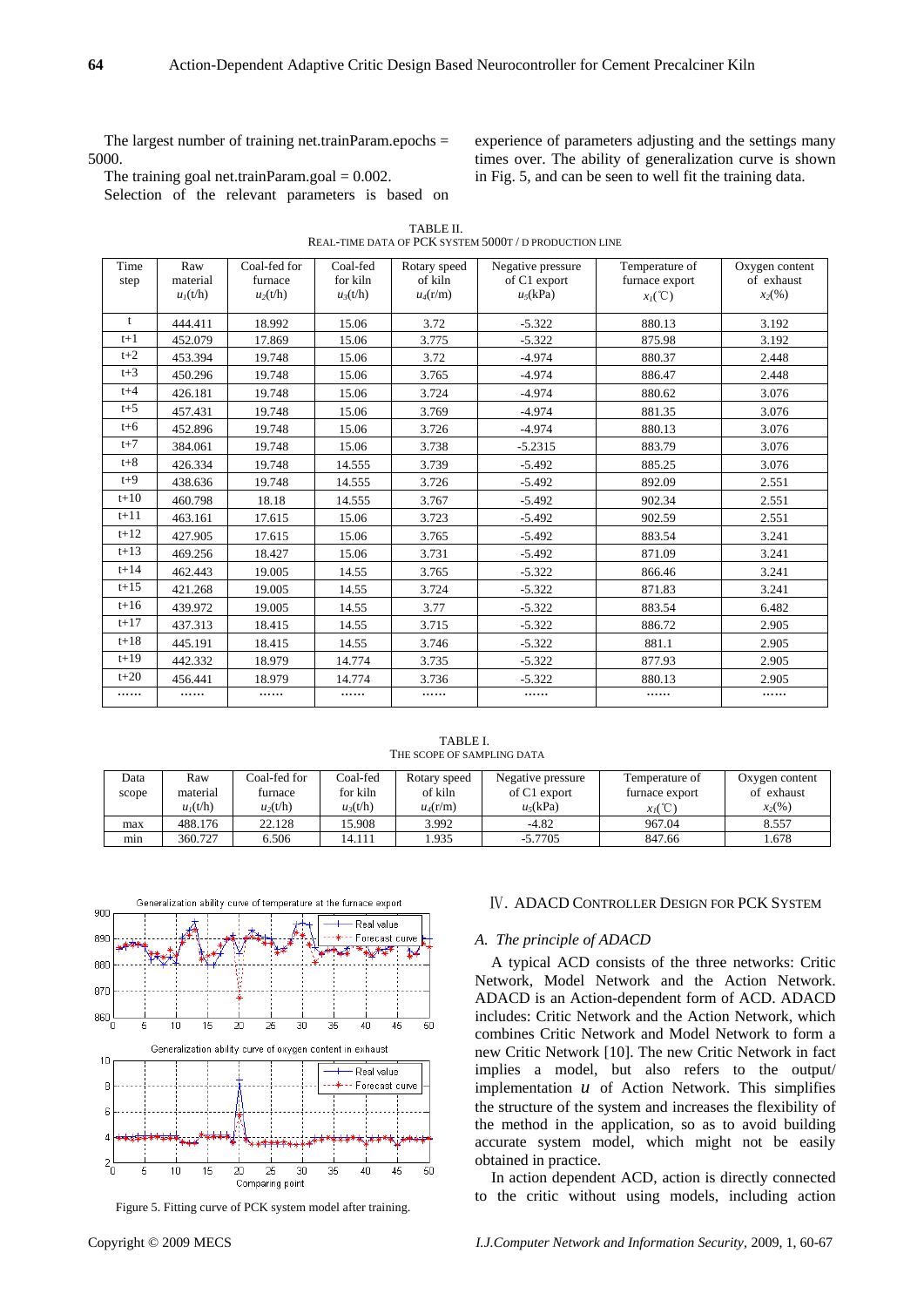The largest number of training net.trainParam.epochs = 5000.

The training goal net.trainParam.goal =  $0.002$ .

Selection of the relevant parameters is based on

experience of parameters adjusting and the settings many times over. The ability of generalization curve is shown in Fig. 5, and can be seen to well fit the training data.

| TABLE II.                                              |  |
|--------------------------------------------------------|--|
| REAL-TIME DATA OF PCK SYSTEM 5000T / D PRODUCTION LINE |  |

| Time    | Raw        | Coal-fed for | Coal-fed   | Rotary speed | Negative pressure | Temperature of | Oxygen content |
|---------|------------|--------------|------------|--------------|-------------------|----------------|----------------|
| step    | material   | furnace      | for kiln   | of kiln      | of C1 export      | furnace export | of exhaust     |
|         | $u_1(t/h)$ | $u_2(t/h)$   | $u_3(t/h)$ | $u_4(r/m)$   | $u_5$ (kPa)       | $x_I$ (°C)     | $x_2$ (%)      |
| t       | 444.411    | 18.992       | 15.06      | 3.72         | $-5.322$          | 880.13         | 3.192          |
| $t+1$   | 452.079    | 17.869       | 15.06      | 3.775        | $-5.322$          | 875.98         | 3.192          |
| $t+2$   | 453.394    | 19.748       | 15.06      | 3.72         | $-4.974$          | 880.37         | 2.448          |
| $t+3$   | 450.296    | 19.748       | 15.06      | 3.765        | $-4.974$          | 886.47         | 2.448          |
| $t + 4$ | 426.181    | 19.748       | 15.06      | 3.724        | $-4.974$          | 880.62         | 3.076          |
| $t+5$   | 457.431    | 19.748       | 15.06      | 3.769        | $-4.974$          | 881.35         | 3.076          |
| $t+6$   | 452.896    | 19.748       | 15.06      | 3.726        | $-4.974$          | 880.13         | 3.076          |
| $t+7$   | 384.061    | 19.748       | 15.06      | 3.738        | $-5.2315$         | 883.79         | 3.076          |
| $t+8$   | 426.334    | 19.748       | 14.555     | 3.739        | $-5.492$          | 885.25         | 3.076          |
| $t+9$   | 438.636    | 19.748       | 14.555     | 3.726        | $-5.492$          | 892.09         | 2.551          |
| $t+10$  | 460.798    | 18.18        | 14.555     | 3.767        | $-5.492$          | 902.34         | 2.551          |
| $t+11$  | 463.161    | 17.615       | 15.06      | 3.723        | $-5.492$          | 902.59         | 2.551          |
| $t+12$  | 427.905    | 17.615       | 15.06      | 3.765        | $-5.492$          | 883.54         | 3.241          |
| $t+13$  | 469.256    | 18.427       | 15.06      | 3.731        | $-5.492$          | 871.09         | 3.241          |
| $t+14$  | 462.443    | 19.005       | 14.55      | 3.765        | $-5.322$          | 866.46         | 3.241          |
| $t+15$  | 421.268    | 19.005       | 14.55      | 3.724        | $-5.322$          | 871.83         | 3.241          |
| $t+16$  | 439.972    | 19.005       | 14.55      | 3.77         | $-5.322$          | 883.54         | 6.482          |
| $t+17$  | 437.313    | 18.415       | 14.55      | 3.715        | $-5.322$          | 886.72         | 2.905          |
| $t+18$  | 445.191    | 18.415       | 14.55      | 3.746        | $-5.322$          | 881.1          | 2.905          |
| $t+19$  | 442.332    | 18.979       | 14.774     | 3.735        | $-5.322$          | 877.93         | 2.905          |
| $t+20$  | 456.441    | 18.979       | 14.774     | 3.736        | $-5.322$          | 880.13         | 2.905          |
|         |            |              |            |              | .                 |                |                |

TABLE I. THE SCOPE OF SAMPLING DATA

| Data<br>scope | Raw<br>material<br>$u_1(t/h)$ | Coal-fed for<br>furnace<br>$u_2(t/h)$ | Coal-fed<br>for kiln<br>$u_3(t/h)$ | Rotary speed<br>of kiln<br>$u_4(r/m)$ | Negative pressure<br>of C1 export<br>$u_5(kPa)$ | Temperature of<br>furnace export<br>$x_1$ (°C) | Oxygen content<br>of exhaust<br>$x_2(\%)$ |
|---------------|-------------------------------|---------------------------------------|------------------------------------|---------------------------------------|-------------------------------------------------|------------------------------------------------|-------------------------------------------|
| max           | 488.176                       | 22.128                                | 15.908                             | 3.992                                 | $-4.82$                                         | 967.04                                         | 8.557                                     |
| mın           | 360.727                       | 6.506                                 | 14.111                             | .935                                  | $-5.7705$                                       | 847.66                                         | .678                                      |



## Ⅳ. ADACD CONTROLLER DESIGN FOR PCK SYSTEM

## *A. The principle of ADACD*

A typical ACD consists of the three networks: Critic Network, Model Network and the Action Network. ADACD is an Action-dependent form of ACD. ADACD includes: Critic Network and the Action Network, which combines Critic Network and Model Network to form a new Critic Network [10]. The new Critic Network in fact implies a model, but also refers to the output/ implementation  $u$  of Action Network. This simplifies the structure of the system and increases the flexibility of the method in the application, so as to avoid building accurate system model, which might not be easily obtained in practice.

In action dependent ACD, action is directly connected to the critic without using models, including action Figure 5. Fitting curve of PCK system model after training.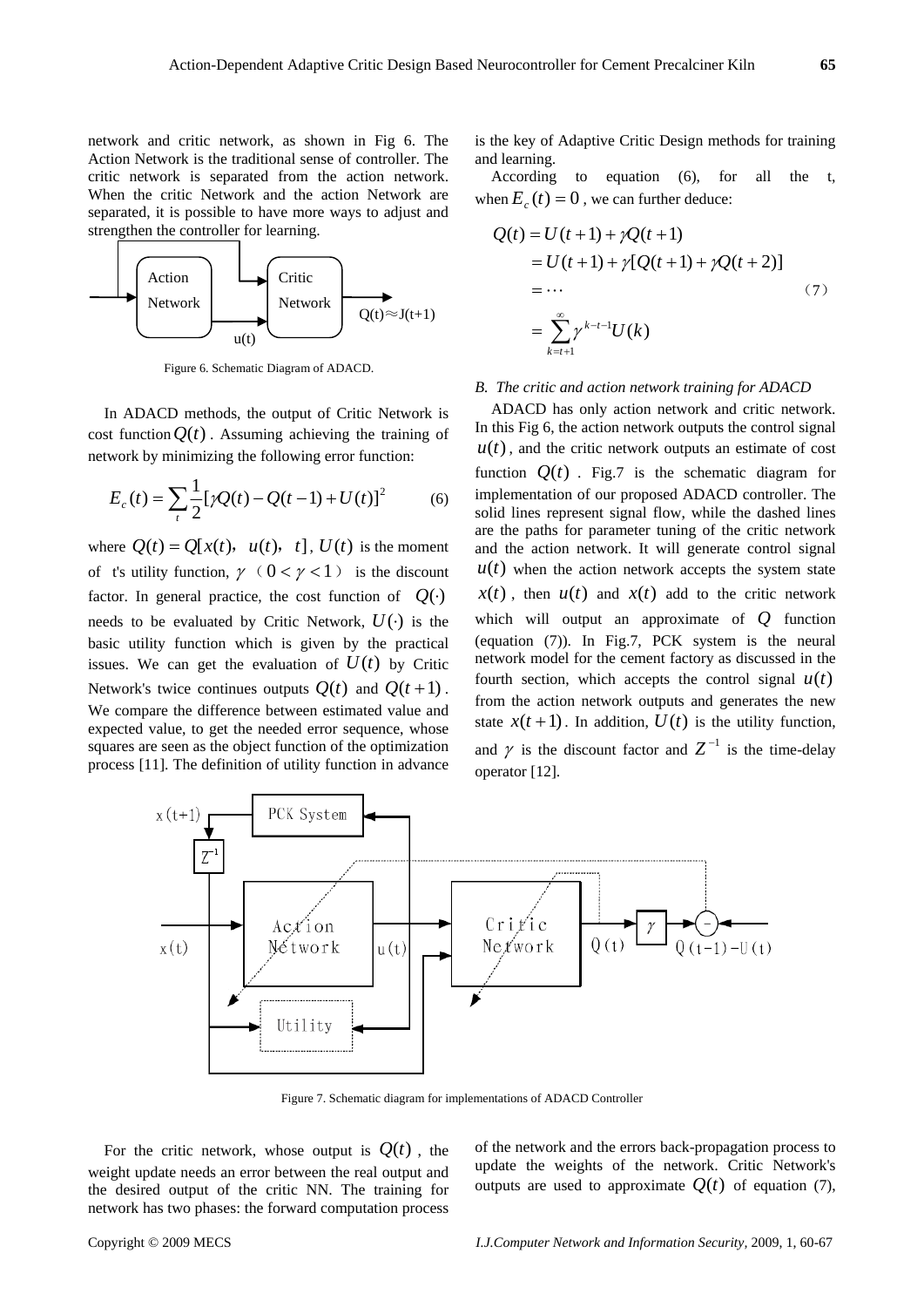network and critic network, as shown in Fig 6. The Action Network is the traditional sense of controller. The critic network is separated from the action network. When the critic Network and the action Network are separated, it is possible to have more ways to adjust and strengthen the controller for learning.



Figure 6. Schematic Diagram of ADACD.

In ADACD methods, the output of Critic Network is cost function  $Q(t)$ . Assuming achieving the training of network by minimizing the following error function:

$$
E_c(t) = \sum_{t} \frac{1}{2} [\gamma Q(t) - Q(t-1) + U(t)]^2
$$
 (6)

where  $Q(t) = Q[x(t), u(t), t]$ ,  $U(t)$  is the moment of t's utility function,  $\gamma$  ( $0 < \gamma < 1$ ) is the discount factor. In general practice, the cost function of  $Q(\cdot)$ needs to be evaluated by Critic Network,  $U(\cdot)$  is the basic utility function which is given by the practical issues. We can get the evaluation of  $U(t)$  by Critic Network's twice continues outputs  $O(t)$  and  $O(t+1)$ . We compare the difference between estimated value and expected value, to get the needed error sequence, whose squares are seen as the object function of the optimization process [11]. The definition of utility function in advance is the key of Adaptive Critic Design methods for training and learning.

According to equation (6), for all the t, when  $E_c(t) = 0$ , we can further deduce:

$$
Q(t) = U(t+1) + \gamma Q(t+1)
$$
  
= U(t+1) + \gamma [Q(t+1) + \gamma Q(t+2)]  
= ... (7)  
= 
$$
\sum_{k=t+1}^{\infty} \gamma^{k-t-1} U(k)
$$

# *B. The critic and action network training for ADACD*

ADACD has only action network and critic network. In this Fig 6, the action network outputs the control signal  $u(t)$ , and the critic network outputs an estimate of cost function  $Q(t)$ . Fig.7 is the schematic diagram for implementation of our proposed ADACD controller. The solid lines represent signal flow, while the dashed lines are the paths for parameter tuning of the critic network and the action network. It will generate control signal  $u(t)$  when the action network accepts the system state  $x(t)$ , then  $u(t)$  and  $x(t)$  add to the critic network which will output an approximate of *Q* function (equation (7)). In Fig.7, PCK system is the neural network model for the cement factory as discussed in the fourth section, which accepts the control signal  $u(t)$ from the action network outputs and generates the new state  $x(t+1)$ . In addition,  $U(t)$  is the utility function, and  $\gamma$  is the discount factor and  $Z^{-1}$  is the time-delay operator [12].



Figure 7. Schematic diagram for implementations of ADACD Controller

For the critic network, whose output is  $Q(t)$ , the weight update needs an error between the real output and the desired output of the critic NN. The training for network has two phases: the forward computation process of the network and the errors back-propagation process to update the weights of the network. Critic Network's outputs are used to approximate  $O(t)$  of equation (7),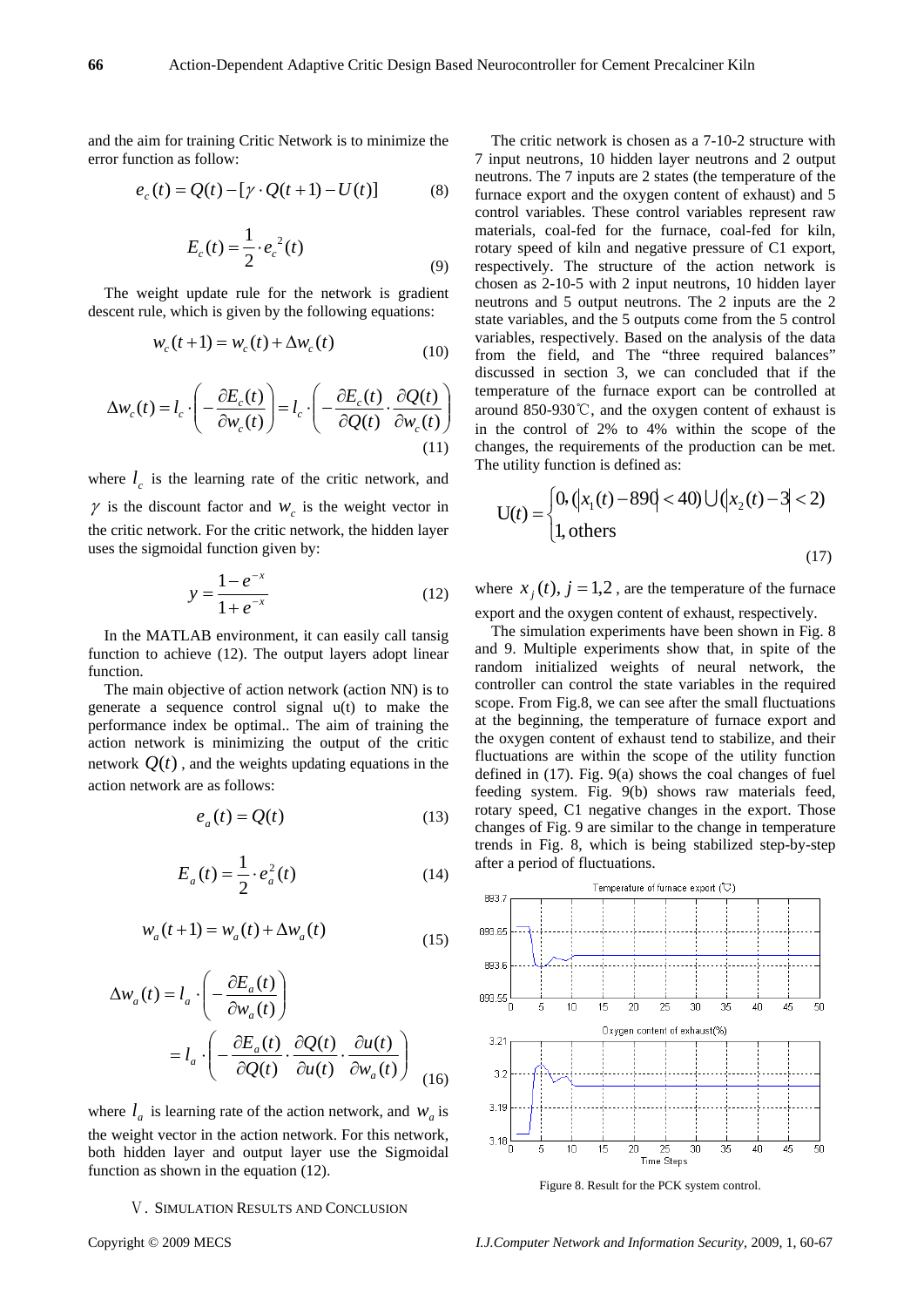and the aim for training Critic Network is to minimize the error function as follow:

$$
e_c(t) = Q(t) - [\gamma \cdot Q(t+1) - U(t)] \tag{8}
$$

$$
E_c(t) = \frac{1}{2} \cdot e_c^2(t)
$$
\n(9)

The weight update rule for the network is gradient descent rule, which is given by the following equations:

$$
w_c(t+1) = w_c(t) + \Delta w_c(t)
$$
\n(10)

$$
\Delta w_c(t) = l_c \cdot \left( -\frac{\partial E_c(t)}{\partial w_c(t)} \right) = l_c \cdot \left( -\frac{\partial E_c(t)}{\partial Q(t)} \cdot \frac{\partial Q(t)}{\partial w_c(t)} \right)
$$
(11)

where  $l_c$  is the learning rate of the critic network, and  $\gamma$  is the discount factor and  $W_c$  is the weight vector in the critic network. For the critic network, the hidden layer uses the sigmoidal function given by:

$$
y = \frac{1 - e^{-x}}{1 + e^{-x}}
$$
 (12)

In the MATLAB environment, it can easily call tansig function to achieve (12). The output layers adopt linear function.

The main objective of action network (action NN) is to generate a sequence control signal u(t) to make the performance index be optimal.. The aim of training the action network is minimizing the output of the critic network  $Q(t)$ , and the weights updating equations in the action network are as follows:

$$
e_a(t) = Q(t) \tag{13}
$$

$$
E_a(t) = \frac{1}{2} \cdot e_a^2(t)
$$
 (14)

$$
w_a(t+1) = w_a(t) + \Delta w_a(t)
$$
\n(15)

$$
\Delta w_a(t) = l_a \cdot \left( -\frac{\partial E_a(t)}{\partial w_a(t)} \right)
$$
  
= 
$$
l_a \cdot \left( -\frac{\partial E_a(t)}{\partial Q(t)} \cdot \frac{\partial Q(t)}{\partial u(t)} \cdot \frac{\partial u(t)}{\partial w_a(t)} \right)
$$
 (16)

where  $l_a$  is learning rate of the action network, and  $W_a$  is the weight vector in the action network. For this network, both hidden layer and output layer use the Sigmoidal function as shown in the equation (12).

# Ⅴ. SIMULATION RESULTS AND CONCLUSION

The critic network is chosen as a 7-10-2 structure with 7 input neutrons, 10 hidden layer neutrons and 2 output neutrons. The 7 inputs are 2 states (the temperature of the furnace export and the oxygen content of exhaust) and 5 control variables. These control variables represent raw materials, coal-fed for the furnace, coal-fed for kiln, rotary speed of kiln and negative pressure of C1 export, respectively. The structure of the action network is chosen as 2-10-5 with 2 input neutrons, 10 hidden layer neutrons and 5 output neutrons. The 2 inputs are the 2 state variables, and the 5 outputs come from the 5 control variables, respectively. Based on the analysis of the data from the field, and The "three required balances" discussed in section 3, we can concluded that if the temperature of the furnace export can be controlled at around 850-930℃, and the oxygen content of exhaust is in the control of 2% to 4% within the scope of the changes, the requirements of the production can be met. The utility function is defined as:

$$
U(t) = \begin{cases} 0, \left( |x_1(t) - 890| < 40 \right) \cup \left( |x_2(t) - 3| < 2 \right) \\ 1, \text{others} \end{cases} \tag{17}
$$

where  $x_i(t)$ ,  $j = 1,2$ , are the temperature of the furnace export and the oxygen content of exhaust, respectively.

The simulation experiments have been shown in Fig. 8 and 9. Multiple experiments show that, in spite of the random initialized weights of neural network, the controller can control the state variables in the required scope. From Fig.8, we can see after the small fluctuations at the beginning, the temperature of furnace export and the oxygen content of exhaust tend to stabilize, and their fluctuations are within the scope of the utility function defined in (17). Fig. 9(a) shows the coal changes of fuel feeding system. Fig. 9(b) shows raw materials feed, rotary speed, C1 negative changes in the export. Those changes of Fig. 9 are similar to the change in temperature trends in Fig. 8, which is being stabilized step-by-step after a period of fluctuations.



Figure 8. Result for the PCK system control.